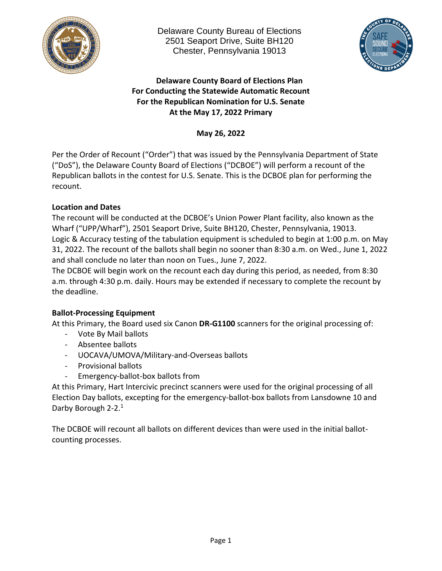



# **Delaware County Board of Elections Plan For Conducting the Statewide Automatic Recount For the Republican Nomination for U.S. Senate At the May 17, 2022 Primary**

**May 26, 2022**

Per the Order of Recount ("Order") that was issued by the Pennsylvania Department of State ("DoS"), the Delaware County Board of Elections ("DCBOE") will perform a recount of the Republican ballots in the contest for U.S. Senate. This is the DCBOE plan for performing the recount.

# **Location and Dates**

The recount will be conducted at the DCBOE's Union Power Plant facility, also known as the Wharf ("UPP/Wharf"), 2501 Seaport Drive, Suite BH120, Chester, Pennsylvania, 19013. Logic & Accuracy testing of the tabulation equipment is scheduled to begin at 1:00 p.m. on May 31, 2022. The recount of the ballots shall begin no sooner than 8:30 a.m. on Wed., June 1, 2022 and shall conclude no later than noon on Tues., June 7, 2022.

The DCBOE will begin work on the recount each day during this period, as needed, from 8:30 a.m. through 4:30 p.m. daily. Hours may be extended if necessary to complete the recount by the deadline.

# **Ballot-Processing Equipment**

At this Primary, the Board used six Canon **DR-G1100** scanners for the original processing of:

- Vote By Mail ballots
- Absentee ballots
- UOCAVA/UMOVA/Military-and-Overseas ballots
- Provisional ballots
- Emergency-ballot-box ballots from

At this Primary, Hart Intercivic precinct scanners were used for the original processing of all Election Day ballots, excepting for the emergency-ballot-box ballots from Lansdowne 10 and Darby Borough 2-2.<sup>1</sup>

The DCBOE will recount all ballots on different devices than were used in the initial ballotcounting processes.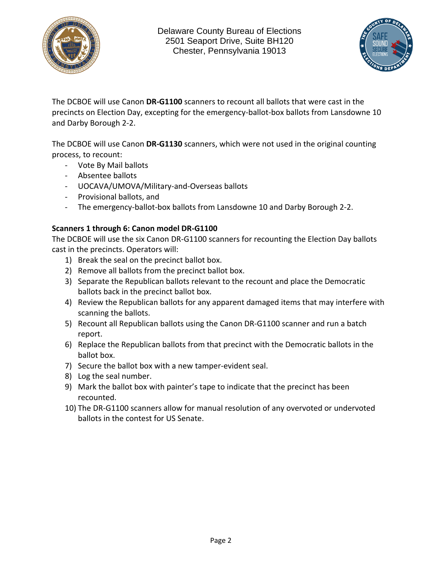



The DCBOE will use Canon **DR-G1100** scanners to recount all ballots that were cast in the precincts on Election Day, excepting for the emergency-ballot-box ballots from Lansdowne 10 and Darby Borough 2-2.

The DCBOE will use Canon **DR-G1130** scanners, which were not used in the original counting process, to recount:

- Vote By Mail ballots
- Absentee ballots
- UOCAVA/UMOVA/Military-and-Overseas ballots
- Provisional ballots, and
- The emergency-ballot-box ballots from Lansdowne 10 and Darby Borough 2-2.

## **Scanners 1 through 6: Canon model DR-G1100**

The DCBOE will use the six Canon DR-G1100 scanners for recounting the Election Day ballots cast in the precincts. Operators will:

- 1) Break the seal on the precinct ballot box.
- 2) Remove all ballots from the precinct ballot box.
- 3) Separate the Republican ballots relevant to the recount and place the Democratic ballots back in the precinct ballot box.
- 4) Review the Republican ballots for any apparent damaged items that may interfere with scanning the ballots.
- 5) Recount all Republican ballots using the Canon DR-G1100 scanner and run a batch report.
- 6) Replace the Republican ballots from that precinct with the Democratic ballots in the ballot box.
- 7) Secure the ballot box with a new tamper-evident seal.
- 8) Log the seal number.
- 9) Mark the ballot box with painter's tape to indicate that the precinct has been recounted.
- 10) The DR-G1100 scanners allow for manual resolution of any overvoted or undervoted ballots in the contest for US Senate.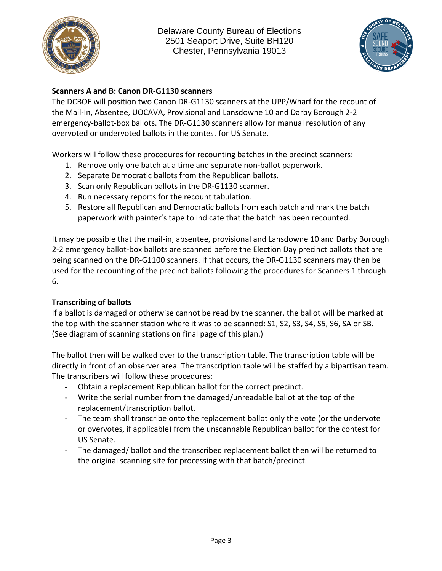



## **Scanners A and B: Canon DR-G1130 scanners**

The DCBOE will position two Canon DR-G1130 scanners at the UPP/Wharf for the recount of the Mail-In, Absentee, UOCAVA, Provisional and Lansdowne 10 and Darby Borough 2-2 emergency-ballot-box ballots. The DR-G1130 scanners allow for manual resolution of any overvoted or undervoted ballots in the contest for US Senate.

Workers will follow these procedures for recounting batches in the precinct scanners:

- 1. Remove only one batch at a time and separate non-ballot paperwork.
- 2. Separate Democratic ballots from the Republican ballots.
- 3. Scan only Republican ballots in the DR-G1130 scanner.
- 4. Run necessary reports for the recount tabulation.
- 5. Restore all Republican and Democratic ballots from each batch and mark the batch paperwork with painter's tape to indicate that the batch has been recounted.

It may be possible that the mail-in, absentee, provisional and Lansdowne 10 and Darby Borough 2-2 emergency ballot-box ballots are scanned before the Election Day precinct ballots that are being scanned on the DR-G1100 scanners. If that occurs, the DR-G1130 scanners may then be used for the recounting of the precinct ballots following the procedures for Scanners 1 through 6.

#### **Transcribing of ballots**

If a ballot is damaged or otherwise cannot be read by the scanner, the ballot will be marked at the top with the scanner station where it was to be scanned: S1, S2, S3, S4, S5, S6, SA or SB. (See diagram of scanning stations on final page of this plan.)

The ballot then will be walked over to the transcription table. The transcription table will be directly in front of an observer area. The transcription table will be staffed by a bipartisan team. The transcribers will follow these procedures:

- Obtain a replacement Republican ballot for the correct precinct.
- Write the serial number from the damaged/unreadable ballot at the top of the replacement/transcription ballot.
- The team shall transcribe onto the replacement ballot only the vote (or the undervote or overvotes, if applicable) from the unscannable Republican ballot for the contest for US Senate.
- The damaged/ ballot and the transcribed replacement ballot then will be returned to the original scanning site for processing with that batch/precinct.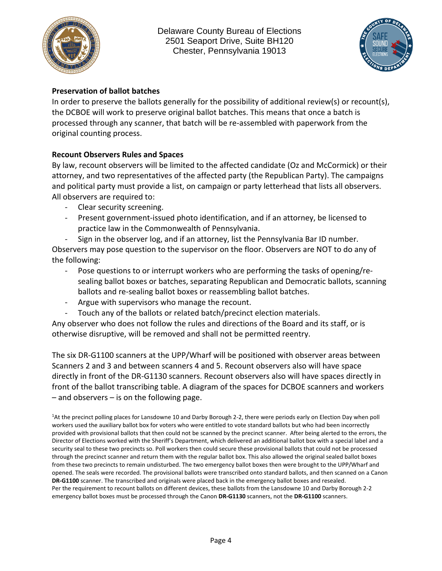



## **Preservation of ballot batches**

In order to preserve the ballots generally for the possibility of additional review(s) or recount(s), the DCBOE will work to preserve original ballot batches. This means that once a batch is processed through any scanner, that batch will be re-assembled with paperwork from the original counting process.

## **Recount Observers Rules and Spaces**

By law, recount observers will be limited to the affected candidate (Oz and McCormick) or their attorney, and two representatives of the affected party (the Republican Party). The campaigns and political party must provide a list, on campaign or party letterhead that lists all observers. All observers are required to:

- Clear security screening.
- Present government-issued photo identification, and if an attorney, be licensed to practice law in the Commonwealth of Pennsylvania.
- Sign in the observer log, and if an attorney, list the Pennsylvania Bar ID number. Observers may pose question to the supervisor on the floor. Observers are NOT to do any of the following:
	- Pose questions to or interrupt workers who are performing the tasks of opening/resealing ballot boxes or batches, separating Republican and Democratic ballots, scanning ballots and re-sealing ballot boxes or reassembling ballot batches.
	- Argue with supervisors who manage the recount.
	- Touch any of the ballots or related batch/precinct election materials.

Any observer who does not follow the rules and directions of the Board and its staff, or is otherwise disruptive, will be removed and shall not be permitted reentry.

The six DR-G1100 scanners at the UPP/Wharf will be positioned with observer areas between Scanners 2 and 3 and between scanners 4 and 5. Recount observers also will have space directly in front of the DR-G1130 scanners. Recount observers also will have spaces directly in front of the ballot transcribing table. A diagram of the spaces for DCBOE scanners and workers – and observers – is on the following page.

<sup>1</sup>At the precinct polling places for Lansdowne 10 and Darby Borough 2-2, there were periods early on Election Day when poll workers used the auxiliary ballot box for voters who were entitled to vote standard ballots but who had been incorrectly provided with provisional ballots that then could not be scanned by the precinct scanner. After being alerted to the errors, the Director of Elections worked with the Sheriff's Department, which delivered an additional ballot box with a special label and a security seal to these two precincts so. Poll workers then could secure these provisional ballots that could not be processed through the precinct scanner and return them with the regular ballot box. This also allowed the original sealed ballot boxes from these two precincts to remain undisturbed. The two emergency ballot boxes then were brought to the UPP/Wharf and opened. The seals were recorded. The provisional ballots were transcribed onto standard ballots, and then scanned on a Canon **DR-G1100** scanner. The transcribed and originals were placed back in the emergency ballot boxes and resealed. Per the requirement to recount ballots on different devices, these ballots from the Lansdowne 10 and Darby Borough 2-2 emergency ballot boxes must be processed through the Canon **DR-G1130** scanners, not the **DR-G1100** scanners.